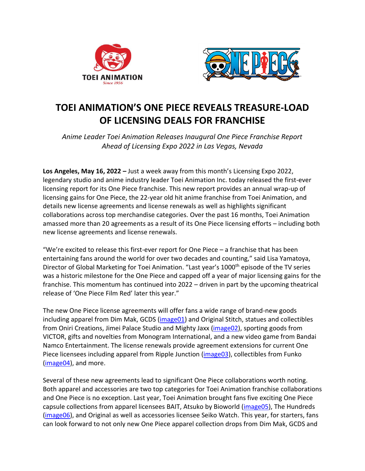



## **TOEI ANIMATION'S ONE PIECE REVEALS TREASURE-LOAD OF LICENSING DEALS FOR FRANCHISE**

*Anime Leader Toei Animation Releases Inaugural One Piece Franchise Report Ahead of Licensing Expo 2022 in Las Vegas, Nevada*

**Los Angeles, May 16, 2022 –** Just a week away from this month's Licensing Expo 2022, legendary studio and anime industry leader Toei Animation Inc. today released the first-ever licensing report for its One Piece franchise. This new report provides an annual wrap-up of licensing gains for One Piece, the 22-year old hit anime franchise from Toei Animation, and details new license agreements and license renewals as well as highlights significant collaborations across top merchandise categories. Over the past 16 months, Toei Animation amassed more than 20 agreements as a result of its One Piece licensing efforts – including both new license agreements and license renewals.

"We're excited to release this first-ever report for One Piece – a franchise that has been entertaining fans around the world for over two decades and counting," said Lisa Yamatoya, Director of Global Marketing for Toei Animation. "Last year's 1000<sup>th</sup> episode of the TV series was a historic milestone for the One Piece and capped off a year of major licensing gains for the franchise. This momentum has continued into 2022 – driven in part by the upcoming theatrical release of 'One Piece Film Red' later this year."

The new One Piece license agreements will offer fans a wide range of brand-new goods including apparel from Dim Mak, GCDS [\(image01\)](https://spaces.hightail.com/space/9f314THtbK/files/fi-b03bc0e1-9f2c-40ed-a0f8-d6008bad980d/fv-b95fdc90-b53a-4b5d-84c5-e942aed5ef64/Image%2001%20-%20One%20Piece%20GCDS%20Collection.jpg) and Original Stitch, statues and collectibles from Oniri Creations, Jimei Palace Studio and Mighty Jaxx [\(image02\)](https://spaces.hightail.com/space/9f314THtbK/files/fi-fab6522e-e063-4d09-aade-83d512704dfe/fv-eb9d7e86-f041-4063-aea9-cc758bfff330/Image%2002%20-%20OnePiece%20MightyJaxx%20Collection.jpg), sporting goods from VICTOR, gifts and novelties from Monogram International, and a new video game from Bandai Namco Entertainment. The license renewals provide agreement extensions for current One Piece licensees including apparel from Ripple Junction [\(image03\)](https://spaces.hightail.com/space/9f314THtbK/files/fi-c5957bab-28f1-48d4-8690-bbf88723ee9b/fv-961828d4-780f-4acf-bafe-7252fe86475f/Image%2003%20-%20One%20Piece%20Ripple%20Junction%20Collection.jpg), collectibles from Funko [\(image04\)](https://spaces.hightail.com/space/9f314THtbK/files/fi-87455941-a001-423d-9f26-16bec222ebb7/fv-096c9f34-6180-4cfd-9581-81d546cefe72/Image%2004%20-%20OnePiece%20LuffyInKimono%20Funko.jpg), and more.

Several of these new agreements lead to significant One Piece collaborations worth noting. Both apparel and accessories are two top categories for Toei Animation franchise collaborations and One Piece is no exception. Last year, Toei Animation brought fans five exciting One Piece capsule collections from apparel licensees BAIT, Atsuko by Bioworld (*image05*), The Hundreds [\(image06\)](https://spaces.hightail.com/space/9f314THtbK/files/fi-6381ca55-df1b-4207-9922-c79af717a370/fv-d94687e4-399c-4f79-9c55-2affcf5a5fb4/Image%2006%20-%20One%20Piece%20The%20Hundreds%20Collection.jpg), and Original as well as accessories licensee Seiko Watch. This year, for starters, fans can look forward to not only new One Piece apparel collection drops from Dim Mak, GCDS and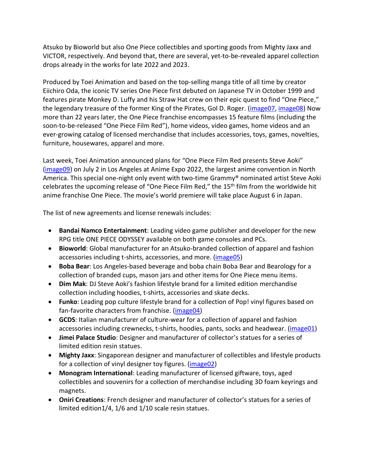Atsuko by Bioworld but also One Piece collectibles and sporting goods from Mighty Jaxx and VICTOR, respectively. And beyond that, there are several, yet-to-be-revealed apparel collection drops already in the works for late 2022 and 2023.

Produced by Toei Animation and based on the top-selling manga title of all time by creator Eiichiro Oda, the iconic TV series One Piece first debuted on Japanese TV in October 1999 and features pirate Monkey D. Luffy and his Straw Hat crew on their epic quest to find "One Piece," the legendary treasure of the former King of the Pirates, Gol D. Roger. [\(image07,](https://spaces.hightail.com/space/9f314THtbK/files/fi-4bcc47e2-aba9-4b52-ad11-d326337cf463/fv-2e668e70-9ff2-4587-afac-99c26a704f1c/Image%2007%20-%20OnePiece_Still_01.png) [image08\)](https://spaces.hightail.com/space/9f314THtbK/files/fi-a1b655ad-8d2b-4caa-ad66-6d96ef3e5285/fv-2f8fc4f8-a6ac-4a42-9bb5-420ecea68e14/Image%2008%20-%20OnePiece_Still_02.png) Now more than 22 years later, the One Piece franchise encompasses 15 feature films (including the soon-to-be-released "One Piece Film Red"), home videos, video games, home videos and an ever-growing catalog of licensed merchandise that includes accessories, toys, games, novelties, furniture, housewares, apparel and more.

Last week, Toei Animation announced plans for "One Piece Film Red presents Steve Aoki" [\(image09\)](https://spaces.hightail.com/space/9f314THtbK/files/fi-e85d52bb-ecc2-48a6-9262-633bd8fbc3dc/fv-50a9b37c-b274-4350-ad77-651c2288843d/Image%2009%20-%20Official%20Artwork%20-%20OPFR%20presents%20Steve%20Aoki%20Live.jpg) on July 2 in Los Angeles at Anime Expo 2022, the largest anime convention in North America. This special one-night only event with two-time Grammy® nominated artist Steve Aoki celebrates the upcoming release of "One Piece Film Red," the 15<sup>th</sup> film from the worldwide hit anime franchise One Piece. The movie's world premiere will take place August 6 in Japan.

The list of new agreements and license renewals includes:

- **Bandai Namco Entertainment**: Leading video game publisher and developer for the new RPG title ONE PIECE ODYSSEY available on both game consoles and PCs.
- **Bioworld**: Global manufacturer for an Atsuko-branded collection of apparel and fashion accessories including t-shirts, accessories, and more. (*image05*)
- **Boba Bear**: Los Angeles-based beverage and boba chain Boba Bear and Bearology for a collection of branded cups, mason jars and other items for One Piece menu items.
- **Dim Mak**: DJ Steve Aoki's fashion lifestyle brand for a limited edition merchandise collection including hoodies, t-shirts, accessories and skate decks.
- **Funko**: Leading pop culture lifestyle brand for a collection of Pop! vinyl figures based on fan-favorite characters from franchise. [\(image04\)](https://spaces.hightail.com/space/9f314THtbK/files/fi-87455941-a001-423d-9f26-16bec222ebb7/fv-096c9f34-6180-4cfd-9581-81d546cefe72/Image%2004%20-%20OnePiece%20LuffyInKimono%20Funko.jpg)
- **GCDS**: Italian manufacturer of culture-wear for a collection of apparel and fashion accessories including crewnecks, t-shirts, hoodies, pants, socks and headwear. [\(image01\)](https://spaces.hightail.com/space/9f314THtbK/files/fi-b03bc0e1-9f2c-40ed-a0f8-d6008bad980d/fv-b95fdc90-b53a-4b5d-84c5-e942aed5ef64/Image%2001%20-%20One%20Piece%20GCDS%20Collection.jpg)
- **Jimei Palace Studio**: Designer and manufacturer of collector's statues for a series of limited edition resin statues.
- **Mighty Jaxx**: Singaporean designer and manufacturer of collectibles and lifestyle products for a collection of vinyl designer toy figures. [\(image02\)](https://spaces.hightail.com/space/9f314THtbK/files/fi-fab6522e-e063-4d09-aade-83d512704dfe/fv-eb9d7e86-f041-4063-aea9-cc758bfff330/Image%2002%20-%20OnePiece%20MightyJaxx%20Collection.jpg)
- **Monogram International**: Leading manufacturer of licensed giftware, toys, aged collectibles and souvenirs for a collection of merchandise including 3D foam keyrings and magnets.
- **Oniri Creations**: French designer and manufacturer of collector's statues for a series of limited edition1/4, 1/6 and 1/10 scale resin statues.